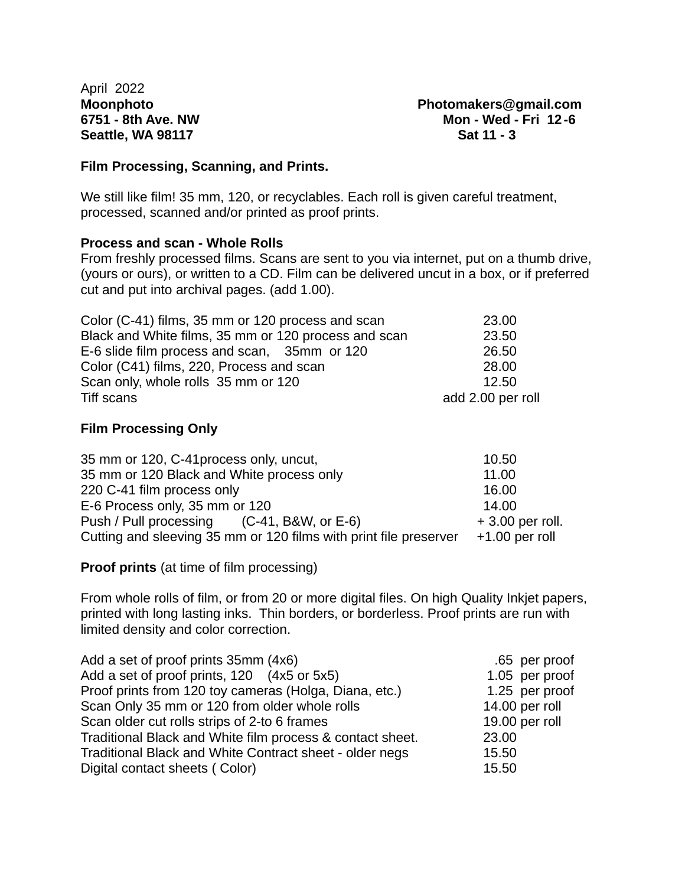April 2022 **Seattle, WA 98117** Sat 11 - 3

**Moonphoto Photomakers@gmail.com 6751 - 8th Ave. NW Mon - Wed - Fri 12 -6**

#### **Film Processing, Scanning, and Prints.**

We still like film! 35 mm, 120, or recyclables. Each roll is given careful treatment, processed, scanned and/or printed as proof prints.

#### **Process and scan - Whole Rolls**

From freshly processed films. Scans are sent to you via internet, put on a thumb drive, (yours or ours), or written to a CD. Film can be delivered uncut in a box, or if preferred cut and put into archival pages. (add 1.00).

| Color (C-41) films, 35 mm or 120 process and scan    | 23.00             |
|------------------------------------------------------|-------------------|
| Black and White films, 35 mm or 120 process and scan | 23.50             |
| E-6 slide film process and scan, 35mm or 120         | 26.50             |
| Color (C41) films, 220, Process and scan             | 28.00             |
| Scan only, whole rolls 35 mm or 120                  | 12.50             |
| Tiff scans                                           | add 2.00 per roll |

### **Film Processing Only**

| 35 mm or 120, C-41 process only, uncut,                           | 10.50             |
|-------------------------------------------------------------------|-------------------|
| 35 mm or 120 Black and White process only                         | 11.00             |
| 220 C-41 film process only                                        | 16.00             |
| E-6 Process only, 35 mm or 120                                    | 14.00             |
| Push / Pull processing (C-41, B&W, or E-6)                        | $+3.00$ per roll. |
| Cutting and sleeving 35 mm or 120 films with print file preserver | $+1.00$ per roll  |

**Proof prints** (at time of film processing)

From whole rolls of film, or from 20 or more digital files. On high Quality Inkjet papers, printed with long lasting inks. Thin borders, or borderless. Proof prints are run with limited density and color correction.

| Add a set of proof prints 35mm (4x6)                      | .65 per proof  |
|-----------------------------------------------------------|----------------|
| Add a set of proof prints, 120 (4x5 or 5x5)               | 1.05 per proof |
| Proof prints from 120 toy cameras (Holga, Diana, etc.)    | 1.25 per proof |
| Scan Only 35 mm or 120 from older whole rolls             | 14.00 per roll |
| Scan older cut rolls strips of 2-to 6 frames              | 19.00 per roll |
| Traditional Black and White film process & contact sheet. | 23.00          |
| Traditional Black and White Contract sheet - older negs   | 15.50          |
| Digital contact sheets (Color)                            | 15.50          |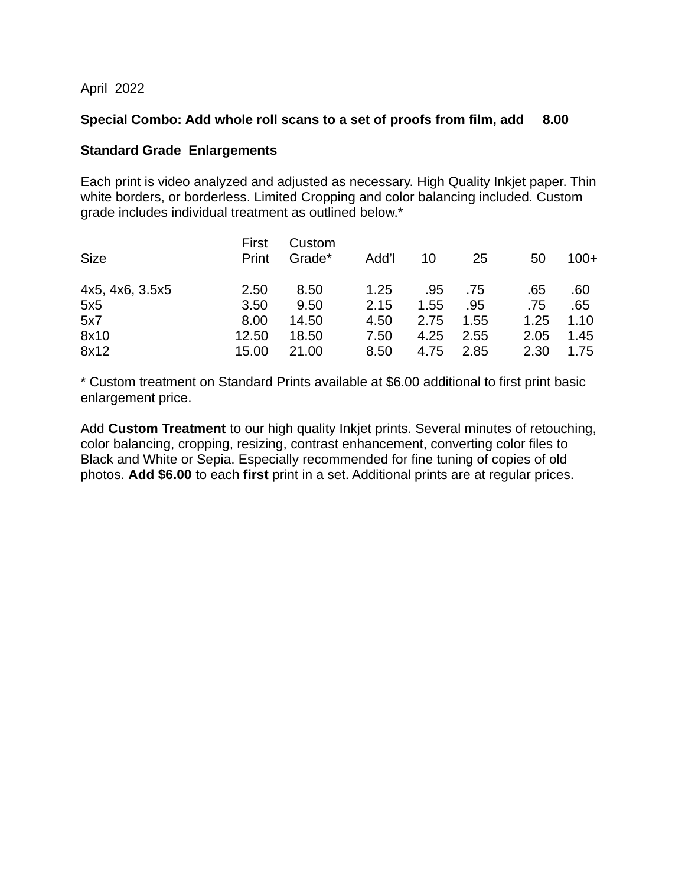April 2022

### **Special Combo: Add whole roll scans to a set of proofs from film, add 8.00**

### **Standard Grade Enlargements**

Each print is video analyzed and adjusted as necessary. High Quality Inkjet paper. Thin white borders, or borderless. Limited Cropping and color balancing included. Custom grade includes individual treatment as outlined below.\*

| <b>Size</b>     | First<br>Print | Custom<br>Grade* | Add'l | 10   | 25   | 50   | $100+$ |
|-----------------|----------------|------------------|-------|------|------|------|--------|
| 4x5, 4x6, 3.5x5 | 2.50           | 8.50             | 1.25  | .95  | .75  | .65  | .60    |
| 5x5             | 3.50           | 9.50             | 2.15  | 1.55 | .95  | .75  | .65    |
| 5x7             | 8.00           | 14.50            | 4.50  | 2.75 | 1.55 | 1.25 | 1.10   |
| 8x10            | 12.50          | 18.50            | 7.50  | 4.25 | 2.55 | 2.05 | 1.45   |
| 8x12            | 15.00          | 21.00            | 8.50  | 4.75 | 2.85 | 2.30 | 1.75   |

\* Custom treatment on Standard Prints available at \$6.00 additional to first print basic enlargement price.

Add **Custom Treatment** to our high quality Inkjet prints. Several minutes of retouching, color balancing, cropping, resizing, contrast enhancement, converting color files to Black and White or Sepia. Especially recommended for fine tuning of copies of old photos. **Add \$6.00** to each **first** print in a set. Additional prints are at regular prices.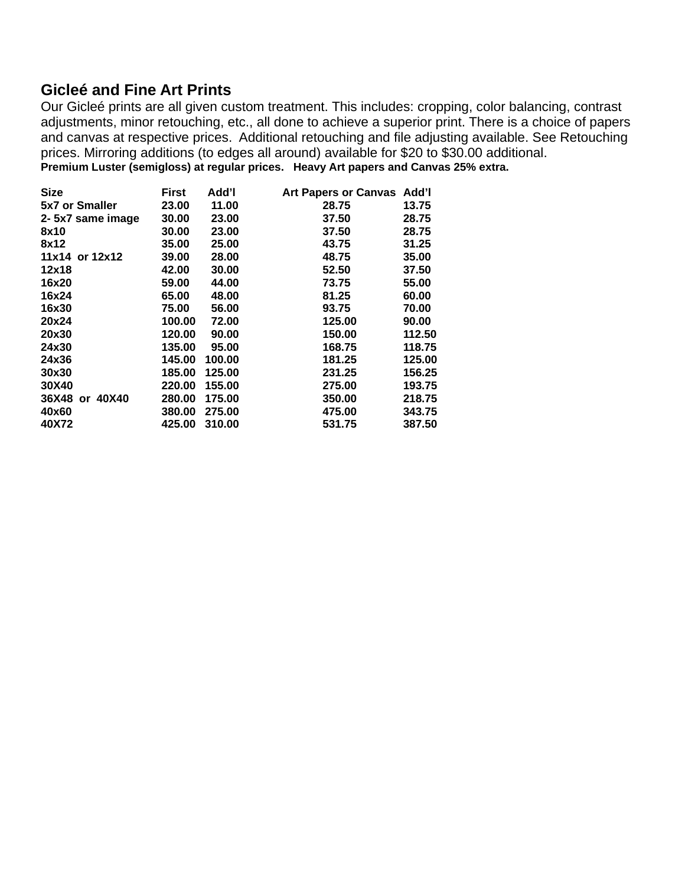## **Gicleé and Fine Art Prints**

Our Gicleé prints are all given custom treatment. This includes: cropping, color balancing, contrast adjustments, minor retouching, etc., all done to achieve a superior print. There is a choice of papers and canvas at respective prices. Additional retouching and file adjusting available. See Retouching prices. Mirroring additions (to edges all around) available for \$20 to \$30.00 additional. **Premium Luster (semigloss) at regular prices. Heavy Art papers and Canvas 25% extra.**

| <b>Size</b>           | First  | Add'l  | Art Papers or Canvas Add'l |        |
|-----------------------|--------|--------|----------------------------|--------|
| <b>5x7 or Smaller</b> | 23.00  | 11.00  | 28.75                      | 13.75  |
| 2-5x7 same image      | 30.00  | 23.00  | 37.50                      | 28.75  |
| 8x10                  | 30.00  | 23.00  | 37.50                      | 28.75  |
| 8x12                  | 35.00  | 25.00  | 43.75                      | 31.25  |
| 11x14 or 12x12        | 39.00  | 28.00  | 48.75                      | 35.00  |
| 12x18                 | 42.00  | 30.00  | 52.50                      | 37.50  |
| 16x20                 | 59.00  | 44.00  | 73.75                      | 55.00  |
| 16x24                 | 65.00  | 48.00  | 81.25                      | 60.00  |
| 16x30                 | 75.00  | 56.00  | 93.75                      | 70.00  |
| 20x24                 | 100.00 | 72.00  | 125.00                     | 90.00  |
| 20x30                 | 120.00 | 90.00  | 150.00                     | 112.50 |
| 24x30                 | 135.00 | 95.00  | 168.75                     | 118.75 |
| 24x36                 | 145.00 | 100.00 | 181.25                     | 125.00 |
| 30x30                 | 185.00 | 125.00 | 231.25                     | 156.25 |
| 30X40                 | 220.00 | 155.00 | 275.00                     | 193.75 |
| 36X48 or 40X40        | 280.00 | 175.00 | 350.00                     | 218.75 |
| 40x60                 | 380.00 | 275.00 | 475.00                     | 343.75 |
| 40X72                 | 425.00 | 310.00 | 531.75                     | 387.50 |
|                       |        |        |                            |        |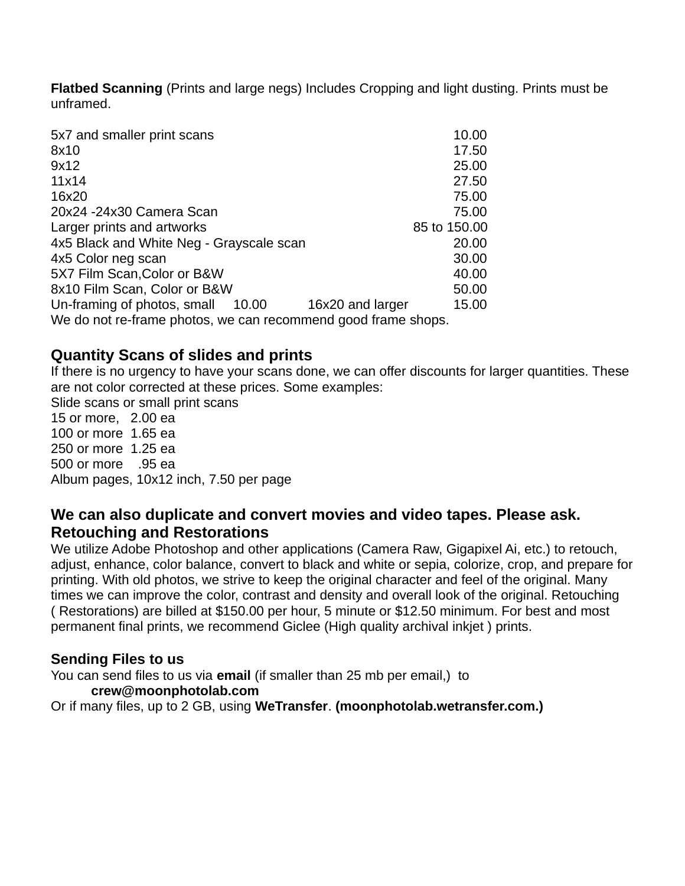**Flatbed Scanning** (Prints and large negs) Includes Cropping and light dusting. Prints must be unframed.

| 5x7 and smaller print scans                                   | 10.00        |
|---------------------------------------------------------------|--------------|
| 8x10                                                          | 17.50        |
| 9x12                                                          | 25.00        |
| 11×14                                                         | 27.50        |
| 16×20                                                         | 75.00        |
| 20x24 -24x30 Camera Scan                                      | 75.00        |
| Larger prints and artworks                                    | 85 to 150,00 |
| 4x5 Black and White Neg - Grayscale scan                      | 20.00        |
| 4x5 Color neg scan                                            | 30.00        |
| 5X7 Film Scan, Color or B&W                                   | 40.00        |
| 8x10 Film Scan, Color or B&W                                  | 50.00        |
| Un-framing of photos, small 10.00<br>16x20 and larger         | 15.00        |
| We do not re-frame photos, we can recommend good frame shops. |              |

# **Quantity Scans of slides and prints**

If there is no urgency to have your scans done, we can offer discounts for larger quantities. These are not color corrected at these prices. Some examples: Slide scans or small print scans 15 or more, 2.00 ea 100 or more 1.65 ea 250 or more 1.25 ea 500 or more .95 ea Album pages, 10x12 inch, 7.50 per page

## **We can also duplicate and convert movies and video tapes. Please ask. Retouching and Restorations**

We utilize Adobe Photoshop and other applications (Camera Raw, Gigapixel Ai, etc.) to retouch, adjust, enhance, color balance, convert to black and white or sepia, colorize, crop, and prepare for printing. With old photos, we strive to keep the original character and feel of the original. Many times we can improve the color, contrast and density and overall look of the original. Retouching ( Restorations) are billed at \$150.00 per hour, 5 minute or \$12.50 minimum. For best and most permanent final prints, we recommend Giclee (High quality archival inkjet ) prints.

## **Sending Files to us**

You can send files to us via **email** (if smaller than 25 mb per email,) to **crew@moonphotolab.com** Or if many files, up to 2 GB, using **WeTransfer**. **(moonphotolab.wetransfer.com.)**